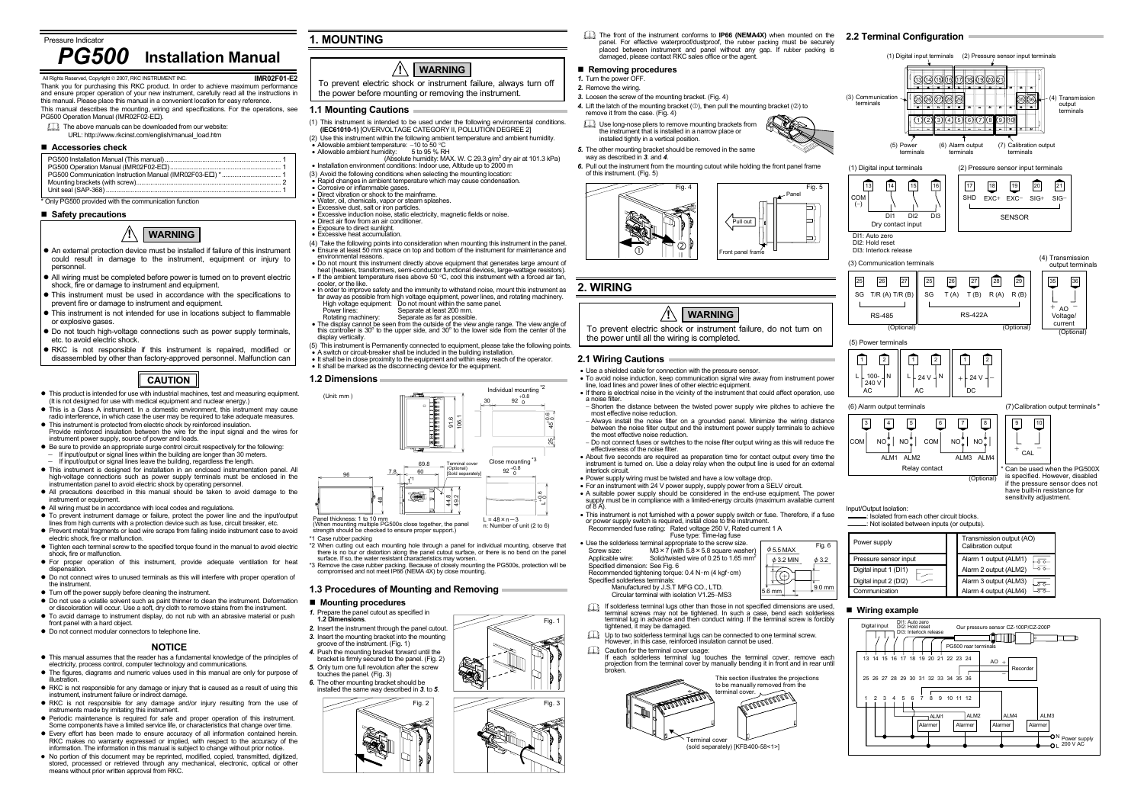**IMR02F01-E2**

 Thank you for purchasing this RKC product. In order to achieve maximum performance and ensure proper operation of your new instrument, carefully read all the instructions in this manual. Please place this manual in a convenient location for easy reference.

- This manual describes the mounting, wiring and specifications. For the operations, see PG500 Operation Manual (IMR02F02-E ).
- The above manuals can be downloaded from our website:
- URL: http://www.rkcinst.com/english/manual\_load.htm

#### **Accessories check**

## \* Only PG500 provided with the communication function

## **Safety precautions**

- $\bullet$  This manual assumes that the reader has a fundamental knowledge of the principles of electricity, process control, computer technology and communications.
- $\bullet$  The figures, diagrams and numeric values used in this manual are only for purpose of illustration.
- RKC is not responsible for any damage or injury that is caused as a result of using this instrument, instrument failure or indirect damage.
- RKC is not responsible for any damage and/or injury resulting from the use of instruments made by imitating this instrument.
- $\bullet$  Periodic maintenance is required for safe and proper operation of this instrument. Some components have a limited service life, or characteristics that change over time.
- $\bullet$  Every effort has been made to ensure accuracy of all information contained herein. RKC makes no warranty expressed or implied, with respect to the accuracy of the information. The information in this manual is subject to change without prior notice.
- $\bullet$  No portion of this document may be reprinted, modified, copied, transmitted, digitized, stored, processed or retrieved through any mechanical, electronic, optical or other means without prior written approval from RKC.

## **NOTICE**

- *1.* Turn the power OFF.
- *2.* Remove the wiring.
- *3.* Loosen the screw of the mounting bracket. (Fig. 4)
- 4. Lift the latch of the mounting bracket (①), then pull the mounting bracket (②) to remove it from the case. (Fig. 4)
- Use long-nose pliers to remove mounting brackets from the instrument that is installed in a narrow place or installed tightly in a vertical position.



## **1. MOUNTING**

## **1.1 Mounting Cautions**

• Use the solderless terminal appropriate to the screw size. Screw size:  $\frac{M3 \times 7}{M3 \times 7}$  (with 5.8 $\times$ 5.8 square washer)<br>Applicable wire: Solid/twisted wire of 0.25 to 1.65 mm<sup>2</sup>

If solderless terminal lugs other than those in not specified dimensions are used, terminal screws may not be tightened. In such a case, bend each solderless terminal lug in advance and then conduct wiring. If the terminal screw is forcibly

- (1) This instrument is intended to be used under the following environmental conditions. **(IEC61010-1)** [OVERVOLTAGE CATEGORY II, POLLUTION DEGREE 2]
- (2) Use this instrument within the following ambient temperature and ambient humidity. • Allowable ambient temperature: −10 to 50 °C
	-
- Allowable ambient humidity:  $5$  to 95 % RH<br>(Absolute humidity: MAX. W. C 29.3 g/m<sup>3</sup> dry air at 101.3 kPa) • Installation environment conditions: Indoor use, Altitude up to 2000 m
- (3) Avoid the following conditions when selecting the mounting location:
- $\overline{\bullet}$  Rapid changes in ambient temperature which may cause condensation.
- Corrosive or inflammable gases.
- Borrosive or imital induct gases.<br>• Direct vibration or shock to the mainframe.
- Water, oil, chemicals, vapor or steam splashes. Excessive dust, salt or iron particles.
- Excessive induction noise, static electricity, magnetic fields or noise.
- Direct air flow from an air conditioner.
- Exposure to direct sunlight. Excessive heat accumulation.
- 
- (4) Take the following points into consideration when mounting this instrument in the panel. • Ensure at least 50 mm space on top and bottom of the instrument for maintenance and environmental reasons.
- Do not mount this instrument directly above equipment that generates large amount of heat (heaters, transformers, semi-conductor functional devices, large-wattage resistors). • If the ambient temperature rises above 50 °C, cool this instrument with a forced air fan,
- cooler, or the like.
- In order to improve safety and the immunity to withstand noise, mount this instrument as<br>far away as possible from high voltage equipment, power lines, and rotating machinery.<br>High voltage equipment: Do not mount withi
- Power lines: Separate at least 200 mm.
- Rotating machinery: Separate as far as possible. The display cannot be seen from the outside of the view angle range. The view angle of
- this controller is 30o to the upper side, and 30o to the lower side from the center of the display vertically.
- (5) This instrument is Permanently connected to equipment, please take the following points. • A switch or circuit-breaker shall be included in the building installation.
- It shall be in close proximity to the equipment and within easy reach of the operator. It shall be marked as the disconnecting device for the equipment.

 $\square$  Up to two solderless terminal lugs can be connected to one terminal screw. However, in this case, reinforced insulation cannot be used.

#### **1.2 Dimensions**

(When mounting multiple PG500s close together, the panel strength should be checked to ensure proper support.)



n: Number of unit (2 to 6)

- \*1 Case rubber packing
- \*2 When cutting out each mounting hole through a panel for individual mounting, observe that there is no bur or distortion along the panel cutout surface, or there is no bend on the panel surface. If so, the water resistant characteristics may worsen.

\*3 Remove the case rubber packing. Because of closely mounting the PG500s, protection will be compromised and not meet IP66 (NEMA 4X) by close mounting.

### **1.3 Procedures of Mounting and Removing**

### **Mounting procedures**



Fig. 1

Fig. 3

The front of the instrument conforms to **IP66 (NEMA4X)** when mounted on the **2.2 Terminal Configuration**  panel. For effective waterproof/dustproof, the rubber packing must be securely placed between instrument and panel without any gap. If rubber packing is damaged, please contact RKC sales office or the agent.

#### **Removing procedures**

- *5.* The other mounting bracket should be removed in the same way as described in *3*. and *4*.
- *6.* Pull out the instrument from the mounting cutout while holding the front panel frame of this instrument. (Fig. 5)





## **2. WIRING**

**2.1 Wiring Cautions** 

• Use a shielded cable for connection with the pressure sensor.

• To avoid noise induction, keep communication signal wire away from instrument power

line, load lines and power lines of other electric equipment.

• If there is electrical noise in the vicinity of the instrument that could affect operation, use

a noise filter.

<sup>−</sup> Shorten the distance between the twisted power supply wire pitches to achieve the

most effective noise reduction.

<sup>−</sup> Always install the noise filter on a grounded panel. Minimize the wiring distance between the noise filter output and the instrument power supply terminals to achieve

the most effective noise reduction.

− Do not connect fuses or switches to the noise filter output wiring as this will reduce the

effectiveness of the noise filter.

• About five seconds are required as preparation time for contact output every time the instrument is turned on. Use a delay relay when the output line is used for an external

interlock circuit.

• Power supply wiring must be twisted and have a low voltage drop.

• For an instrument with 24 V power supply, supply power from a SELV circuit. • A suitable power supply should be considered in the end-use equipment. The power supply must be in compliance with a limited-energy circuits (maximum available current of 8 A). • This instrument is not furnished with a power supply switch or fuse. Therefore, if a fuse

or power supply switch is required, install close to the instrument. Recommended fuse rating: Rated voltage 250 V, Rated current 1 A

Fuse type: Time-lag fuse

Solid/twisted wire of 0.25 to 1.65 mm<sup>2</sup>

Specified dimension: See Fig. 6

Recommended tightening torque: 0.4 N・m (4 kgf・cm)

Specified solderless terminals:

 Manufactured by J.S.T MFG CO., LTD. Circular terminal with isolation V1.25−MS3

tightened, it may be damaged.

Caution for the terminal cover usage: If each solderless terminal lug touches the terminal cover, remove each projection from the terminal cover by manually bending it in front and in rear until broken.

Terminal cover

(sold separately) [KFB400-58<1>]

minal cover.

This section illustrates the projections to be manually removed from the



25

(−)

| Power supply          |  | Calibration output    |  |
|-----------------------|--|-----------------------|--|
| Pressure sensor input |  | Alarm 1 output (ALM1) |  |
| Digital input 1 (DI1) |  | Alarm 2 output (ALM2) |  |
| Digital input 2 (DI2) |  | Alarm 3 output (ALM3) |  |
| Communication         |  | Alarm 4 output (ALM4) |  |

## **Wiring example**



# *PG500* **Installation Manual**

#### All Rights Reserved, Copyright © 2007, RKC INSTRUMENT INC.



- An external protection device must be installed if failure of this instrument could result in damage to the instrument, equipment or injury to personnel.
- All wiring must be completed before power is turned on to prevent electric shock, fire or damage to instrument and equipment.
- $\bullet$  This instrument must be used in accordance with the specifications to prevent fire or damage to instrument and equipment.
- This instrument is not intended for use in locations subject to flammable or explosive gases.
- $\bullet$  Do not touch high-voltage connections such as power supply terminals, etc. to avoid electric shock.
- **RKC** is not responsible if this instrument is repaired, modified or disassembled by other than factory-approved personnel. Malfunction can
	- **CAUTION**
- This product is intended for use with industrial machines, test and measuring equipment. (It is not designed for use with medical equipment and nuclear energy.)
- $\bullet$  This is a Class A instrument. In a domestic environment, this instrument may cause radio interference, in which case the user may be required to take adequate measures.
- This instrument is protected from electric shock by reinforced insulation. Provide reinforced insulation between the wire for the input signal and the wires for instrument power supply, source of power and loads.
- $\bullet$  Be sure to provide an appropriate surge control circuit respectively for the following: If input/output or signal lines within the building are longer than 30 meters.
- <sup>−</sup>If input/output or signal lines leave the building, regardless the length.
- This instrument is designed for installation in an enclosed instrumentation panel. All high-voltage connections such as power supply terminals must be enclosed in the instrumentation panel to avoid electric shock by operating personnel.
- All precautions described in this manual should be taken to avoid damage to the instrument or equipment.
- All wiring must be in accordance with local codes and regulations.
- z To prevent instrument damage or failure, protect the power line and the input/output lines from high currents with a protection device such as fuse, circuit breaker, etc.
- Prevent metal fragments or lead wire scraps from falling inside instrument case to avoid electric shock, fire or malfunction.
- Tighten each terminal screw to the specified torque found in the manual to avoid electric shock, fire or malfunction.
- $\bullet$  For proper operation of this instrument, provide adequate ventilation for heat dispensation.
- $\bullet$  Do not connect wires to unused terminals as this will interfere with proper operation of the instrument.
- $\bullet$  Turn off the power supply before cleaning the instrument.
- $\bullet$  Do not use a volatile solvent such as paint thinner to clean the instrument. Deformation
- or discoloration will occur. Use a soft, dry cloth to remove stains from the instrument.  $\bullet$  To avoid damage to instrument display, do not rub with an abrasive material or push front panel with a hard object.
- $\bullet$  Do not connect modular connectors to telephone line.
- 

To prevent electric shock or instrument failure, always turn off the power before mounting or removing the instrument.

#### **!WARNING**

To prevent electric shock or instrument failure, do not turn on

the power until all the wiring is completed.

**!**

**WARNING**

- 
- *1.* Prepare the panel cutout as specified in **1.2 Dimensions**. *2.* Insert the instrument through the panel cutout.
- *3.* Insert the mounting bracket into the mounting
- groove of the instrument. (Fig. 1)
- *4.* Push the mounting bracket forward until the bracket is firmly secured to the panel. (Fig. 2)
- *5.* Only turn one full revolution after the screw touches the panel. (Fig. 3)
- *6.* The other mounting bracket should be installed the same way described in *3*. to *5*.

Fig. 6

φ3.2

 $\frac{1}{16 \text{ mm}}$   $\frac{9.0 \text{ mr}}{20 \text{ cm}}$ 

 $\phi$  3.2 MIN  $\phi$  5.5 MAX

 $\widehat{\mathbb{G}}$ 

**MELLER ARELEY**